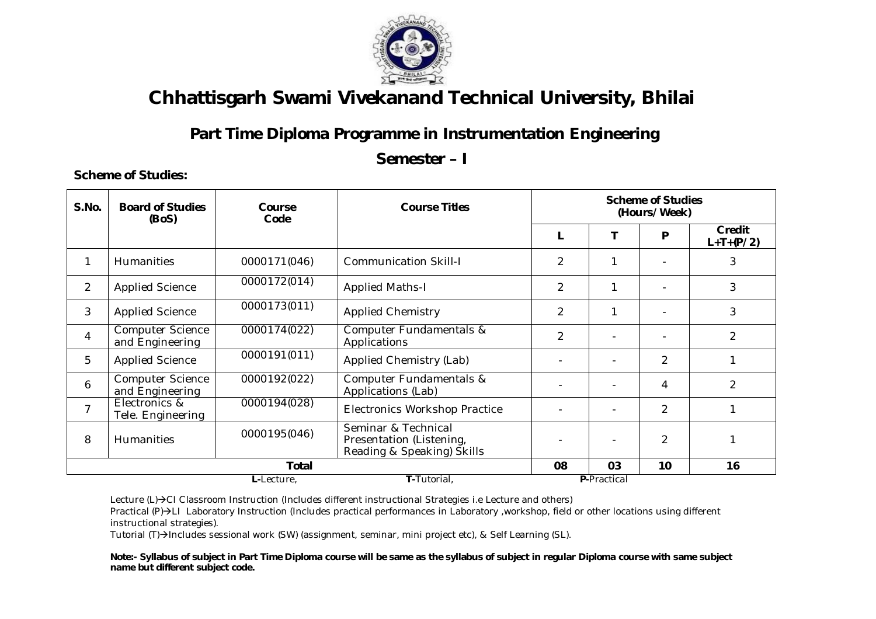

### **Part Time Diploma Programme in Instrumentation Engineering**

#### **Semester – I**

**Scheme of Studies:**

| S.No.          | <b>Board of Studies</b><br>(BoS)           | Course<br>Code | <b>Course Titles</b>                                                          |                    | <b>Scheme of Studies</b><br>(Hours/Week) |                |                       |  |
|----------------|--------------------------------------------|----------------|-------------------------------------------------------------------------------|--------------------|------------------------------------------|----------------|-----------------------|--|
|                |                                            |                |                                                                               |                    |                                          | P              | Credit<br>$L+T+(P/2)$ |  |
| 1              | <b>Humanities</b>                          | 0000171(046)   | <b>Communication Skill-I</b>                                                  | 2                  | 1                                        |                | 3                     |  |
| $\overline{2}$ | <b>Applied Science</b>                     | 0000172(014)   | <b>Applied Maths-I</b>                                                        | 2                  | 1                                        |                | 3                     |  |
| 3              | <b>Applied Science</b>                     | 0000173(011)   | <b>Applied Chemistry</b>                                                      | $\overline{2}$     | 1                                        |                | 3                     |  |
| $\overline{4}$ | <b>Computer Science</b><br>and Engineering | 0000174(022)   | Computer Fundamentals &<br>Applications                                       | $\overline{2}$     |                                          |                | $\overline{2}$        |  |
| 5              | <b>Applied Science</b>                     | 0000191(011)   | Applied Chemistry (Lab)                                                       |                    |                                          | $\overline{2}$ |                       |  |
| 6              | <b>Computer Science</b><br>and Engineering | 0000192(022)   | Computer Fundamentals &<br>Applications (Lab)                                 |                    |                                          | 4              | $\overline{2}$        |  |
| 7              | Electronics &<br>Tele. Engineering         | 0000194(028)   | <b>Electronics Workshop Practice</b>                                          |                    |                                          | 2              | 1                     |  |
| 8              | <b>Humanities</b>                          | 0000195(046)   | Seminar & Technical<br>Presentation (Listening,<br>Reading & Speaking) Skills |                    |                                          | 2              |                       |  |
|                |                                            | <b>Total</b>   | 08                                                                            | 03                 | 10                                       | 16             |                       |  |
|                |                                            | L-Lecture,     |                                                                               | <b>P-Practical</b> |                                          |                |                       |  |

Lecture (L)→CI Classroom Instruction (Includes different instructional Strategies i.e Lecture and others)

Practical (P)->LI Laboratory Instruction (Includes practical performances in Laboratory ,workshop, field or other locations using different instructional strategies).

Tutorial (T)->Includes sessional work (SW) (assignment, seminar, mini project etc), & Self Learning (SL).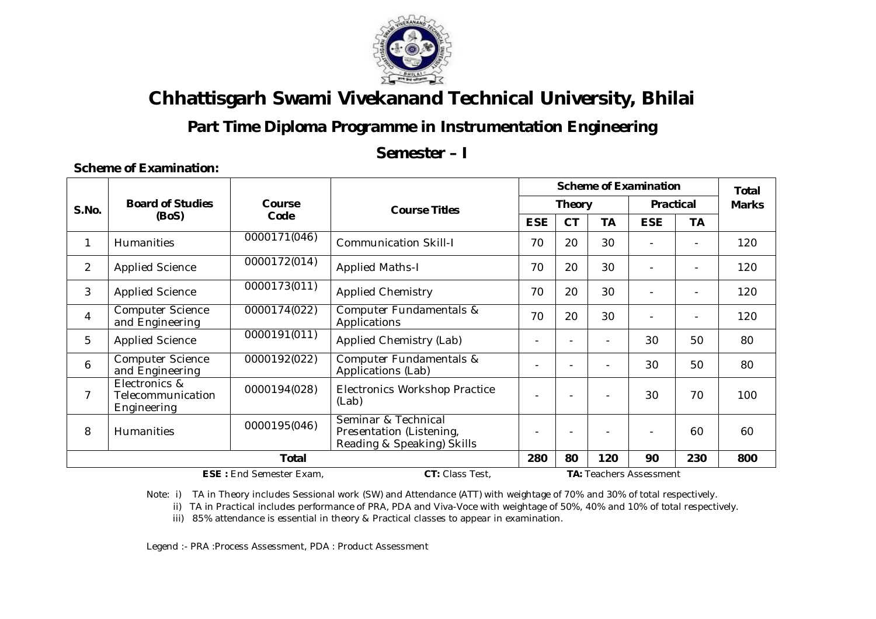

### **Part Time Diploma Programme in Instrumentation Engineering**

**Semester – I**

#### **Scheme of Examination:**

|                |                                                   |                                |                                                                               |                          | <b>Scheme of Examination</b> |                  |                |                          |     |  |
|----------------|---------------------------------------------------|--------------------------------|-------------------------------------------------------------------------------|--------------------------|------------------------------|------------------|----------------|--------------------------|-----|--|
| S.No.          | <b>Board of Studies</b>                           | Course<br><b>Course Titles</b> |                                                                               | <b>Theory</b>            |                              | <b>Practical</b> |                | <b>Marks</b>             |     |  |
|                | (BoS)                                             | Code                           |                                                                               | <b>ESE</b>               | <b>CT</b>                    | <b>TA</b>        | <b>ESE</b>     | ТA                       |     |  |
| 1              | <b>Humanities</b>                                 | 0000171(046)                   | <b>Communication Skill-I</b>                                                  | 70                       | 20                           | 30               | $\sim$         |                          | 120 |  |
| $\overline{2}$ | <b>Applied Science</b>                            | 0000172(014)                   | <b>Applied Maths-I</b>                                                        | 70                       | 20                           | 30               |                |                          | 120 |  |
| 3              | <b>Applied Science</b>                            | 0000173(011)                   | <b>Applied Chemistry</b>                                                      | 70                       | 20                           | 30               |                |                          | 120 |  |
| $\overline{4}$ | <b>Computer Science</b><br>and Engineering        | 0000174(022)                   | Computer Fundamentals &<br>Applications                                       | 70                       | 20                           | 30               | $\blacksquare$ | $\overline{\phantom{a}}$ | 120 |  |
| 5              | <b>Applied Science</b>                            | 0000191(011)                   | Applied Chemistry (Lab)                                                       | $\overline{\phantom{0}}$ |                              |                  | 30             | 50                       | 80  |  |
| 6              | <b>Computer Science</b><br>and Engineering        | 0000192(022)                   | Computer Fundamentals &<br>Applications (Lab)                                 |                          |                              |                  | 30             | 50                       | 80  |  |
| 7              | Electronics &<br>Telecommunication<br>Engineering | 0000194(028)                   | <b>Electronics Workshop Practice</b><br>(Lab)                                 | $\overline{\phantom{0}}$ |                              |                  | 30             | 70                       | 100 |  |
| 8              | <b>Humanities</b>                                 | 0000195(046)                   | Seminar & Technical<br>Presentation (Listening,<br>Reading & Speaking) Skills | $\overline{\phantom{0}}$ |                              |                  |                | 60                       | 60  |  |
|                | <b>Total</b>                                      |                                |                                                                               | 280                      | 80                           | 120              | 90             | 230                      | 800 |  |

**ESE :** End Semester Exam, **CT:** Class Test, **TA:** Teachers Assessment

Note: i) TA in Theory includes Sessional work (SW) and Attendance (ATT) with weightage of 70% and 30% of total respectively.

ii) TA in Practical includes performance of PRA, PDA and Viva-Voce with weightage of 50%, 40% and 10% of total respectively.

iii) 85% attendance is essential in theory & Practical classes to appear in examination.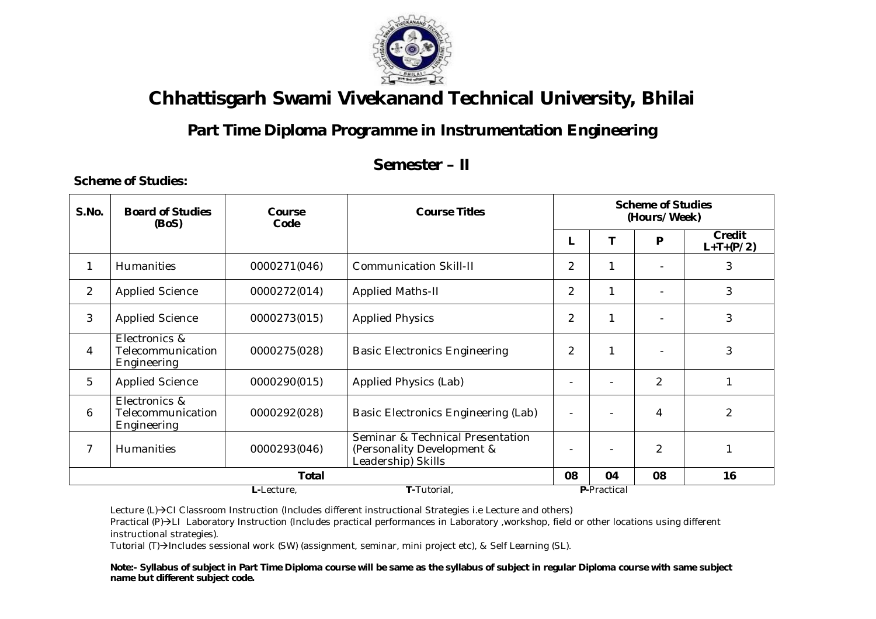

### **Part Time Diploma Programme in Instrumentation Engineering**

### **Semester – II**

**Scheme of Studies:**

| S.No.          | <b>Board of Studies</b><br>(BoS)                  | Course<br>Code | <b>Course Titles</b>                                                                 |                | <b>Scheme of Studies</b><br>(Hours/Week) |                |                       |  |  |  |
|----------------|---------------------------------------------------|----------------|--------------------------------------------------------------------------------------|----------------|------------------------------------------|----------------|-----------------------|--|--|--|
|                |                                                   |                |                                                                                      | L              | т                                        | P              | Credit<br>$L+T+(P/2)$ |  |  |  |
| 1              | Humanities                                        | 0000271(046)   | <b>Communication Skill-II</b>                                                        | $\overline{2}$ | 1                                        |                | 3                     |  |  |  |
| $\overline{2}$ | <b>Applied Science</b>                            | 0000272(014)   | <b>Applied Maths-II</b>                                                              | $\overline{2}$ | 1                                        |                | 3                     |  |  |  |
| 3              | <b>Applied Science</b>                            | 0000273(015)   | <b>Applied Physics</b>                                                               | $\overline{2}$ | $\mathbf{1}$                             |                | 3                     |  |  |  |
| 4              | Electronics &<br>Telecommunication<br>Engineering | 0000275(028)   | <b>Basic Electronics Engineering</b>                                                 | $\overline{2}$ | $\mathbf 1$                              |                | 3                     |  |  |  |
| 5              | <b>Applied Science</b>                            | 0000290(015)   | Applied Physics (Lab)                                                                |                |                                          | 2              |                       |  |  |  |
| 6              | Electronics &<br>Telecommunication<br>Engineering | 0000292(028)   | Basic Electronics Engineering (Lab)                                                  | $\overline{a}$ | $\blacksquare$                           | $\overline{4}$ | 2                     |  |  |  |
| $\overline{7}$ | Humanities                                        | 0000293(046)   | Seminar & Technical Presentation<br>(Personality Development &<br>Leadership) Skills |                | $\blacksquare$                           | $\overline{2}$ |                       |  |  |  |
|                |                                                   | Total          |                                                                                      | 08             | 04                                       | 08             | 16                    |  |  |  |
|                | T-Tutorial,<br><b>P-Practical</b><br>L-Lecture.   |                |                                                                                      |                |                                          |                |                       |  |  |  |

Lecture (L)→CI Classroom Instruction (Includes different instructional Strategies i.e Lecture and others)

Practical (P)->LI Laboratory Instruction (Includes practical performances in Laboratory ,workshop, field or other locations using different instructional strategies).

Tutorial (T)->Includes sessional work (SW) (assignment, seminar, mini project etc), & Self Learning (SL).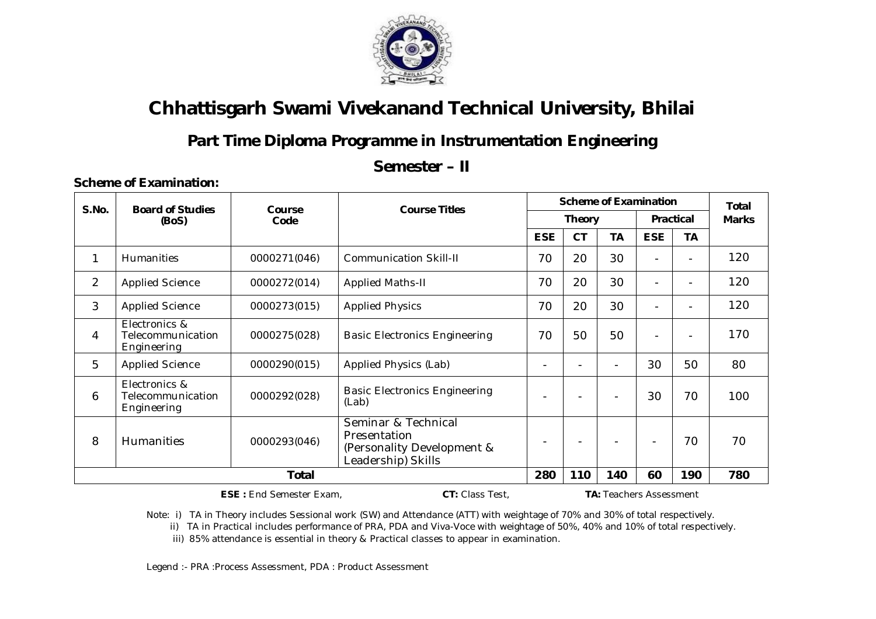

### **Part Time Diploma Programme in Instrumentation Engineering**

#### **Semester – II**

#### **Scheme of Examination:**

| S.No.          | <b>Board of Studies</b>                           | Course       | <b>Course Titles</b>                                                                    | <b>Scheme of Examination</b> |                          |                          |                          |                          | <b>Total</b> |  |
|----------------|---------------------------------------------------|--------------|-----------------------------------------------------------------------------------------|------------------------------|--------------------------|--------------------------|--------------------------|--------------------------|--------------|--|
|                | (BoS)                                             | Code         |                                                                                         |                              | <b>Theory</b>            |                          | <b>Practical</b>         |                          | <b>Marks</b> |  |
|                |                                                   |              |                                                                                         | <b>ESE</b>                   | <b>CT</b>                | <b>TA</b>                | <b>ESE</b>               | <b>TA</b>                |              |  |
| 1              | Humanities                                        | 0000271(046) | <b>Communication Skill-II</b>                                                           | 70                           | 20                       | 30                       |                          | $\overline{\phantom{0}}$ | 120          |  |
| $\overline{2}$ | <b>Applied Science</b>                            | 0000272(014) | <b>Applied Maths-II</b>                                                                 | 70                           | 20                       | 30                       |                          | $\overline{\phantom{0}}$ | 120          |  |
| 3              | <b>Applied Science</b>                            | 0000273(015) | <b>Applied Physics</b>                                                                  | 70                           | 20                       | 30                       |                          |                          | 120          |  |
| 4              | Electronics &<br>Telecommunication<br>Engineering | 0000275(028) | <b>Basic Electronics Engineering</b>                                                    | 70                           | 50                       | 50                       | $\overline{\phantom{0}}$ | $\overline{\phantom{a}}$ | 170          |  |
| 5              | <b>Applied Science</b>                            | 0000290(015) | Applied Physics (Lab)                                                                   |                              | $\overline{\phantom{0}}$ | $\overline{\phantom{a}}$ | 30                       | 50                       | 80           |  |
| 6              | Electronics &<br>Telecommunication<br>Engineering | 0000292(028) | <b>Basic Electronics Engineering</b><br>(Lab)                                           |                              | $\overline{\phantom{0}}$ | $\overline{\phantom{0}}$ | 30                       | 70                       | 100          |  |
| 8              | <b>Humanities</b>                                 | 0000293(046) | Seminar & Technical<br>Presentation<br>(Personality Development &<br>Leadership) Skills |                              | $\overline{\phantom{a}}$ |                          | $\overline{\phantom{a}}$ | 70                       | 70           |  |
|                | <b>Total</b>                                      |              |                                                                                         |                              | 110                      | 140                      | 60                       | 190                      | 780          |  |

 **ESE :** End Semester Exam, **CT:** Class Test, **TA:** Teachers Assessment

Note: i) TA in Theory includes Sessional work (SW) and Attendance (ATT) with weightage of 70% and 30% of total respectively.

ii) TA in Practical includes performance of PRA, PDA and Viva-Voce with weightage of 50%, 40% and 10% of total respectively.

iii) 85% attendance is essential in theory & Practical classes to appear in examination.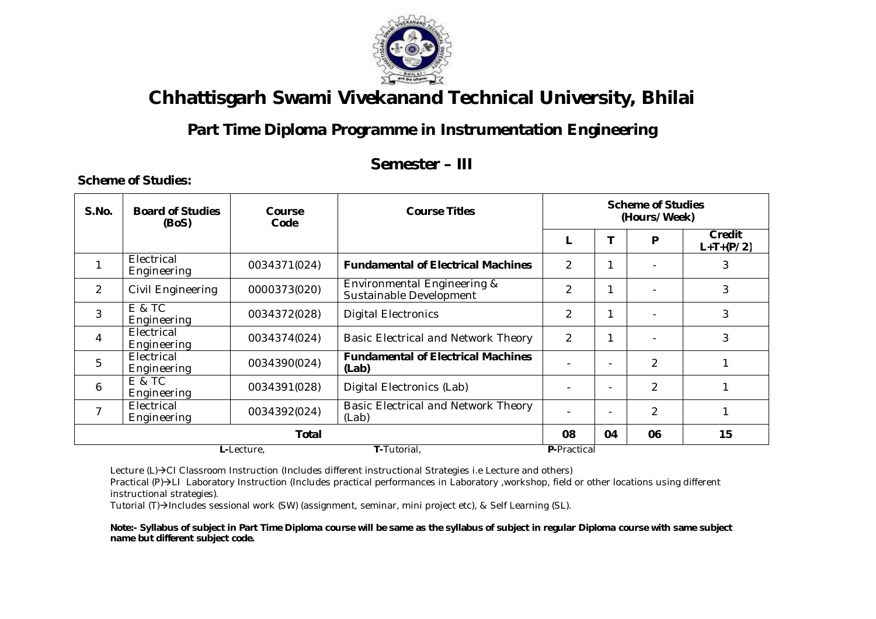

### **Part Time Diploma Programme in Instrumentation Engineering**

#### **Semester – III**

**Scheme of Studies:**

| S.No. | <b>Board of Studies</b><br>(BoS)                | Course<br>Code | <b>Course Titles</b>                                   |                          | <b>Scheme of Studies</b><br>(Hours/Week) |                |                       |  |
|-------|-------------------------------------------------|----------------|--------------------------------------------------------|--------------------------|------------------------------------------|----------------|-----------------------|--|
|       |                                                 |                |                                                        |                          | Т                                        | P              | Credit<br>$L+T+(P/2)$ |  |
|       | Electrical<br>Engineering                       | 0034371(024)   | <b>Fundamental of Electrical Machines</b>              | $\mathcal{P}$            | 1                                        |                | 3                     |  |
| 2     | Civil Engineering                               | 0000373(020)   | Environmental Engineering &<br>Sustainable Development | $\mathcal{P}$            | 1                                        |                | 3                     |  |
| 3     | E & TC<br>Engineering                           | 0034372(028)   | <b>Digital Electronics</b>                             | $\overline{\mathcal{L}}$ | 1                                        |                | 3                     |  |
| 4     | Electrical<br>Engineering                       | 0034374(024)   | Basic Electrical and Network Theory                    | $\overline{2}$           | 1                                        |                | 3                     |  |
| 5     | Electrical<br>Engineering                       | 0034390(024)   | <b>Fundamental of Electrical Machines</b><br>(Lab)     |                          | $\overline{\phantom{0}}$                 | $\overline{2}$ |                       |  |
| 6     | E & TC<br>Engineering                           | 0034391(028)   | Digital Electronics (Lab)                              |                          | $\overline{\phantom{a}}$                 | 2              |                       |  |
| 7     | Electrical<br>Engineering                       | 0034392(024)   | Basic Electrical and Network Theory<br>(Lab)           |                          | $\blacksquare$                           | 2              |                       |  |
|       |                                                 |                | 08                                                     | 04                       | 06                                       | 15             |                       |  |
|       | T-Tutorial,<br><b>P-Practical</b><br>L-Lecture, |                |                                                        |                          |                                          |                |                       |  |

Lecture (L)→CI Classroom Instruction (Includes different instructional Strategies i.e Lecture and others)

Practical (P)->LI Laboratory Instruction (Includes practical performances in Laboratory ,workshop, field or other locations using different instructional strategies).

Tutorial (T)->Includes sessional work (SW) (assignment, seminar, mini project etc), & Self Learning (SL).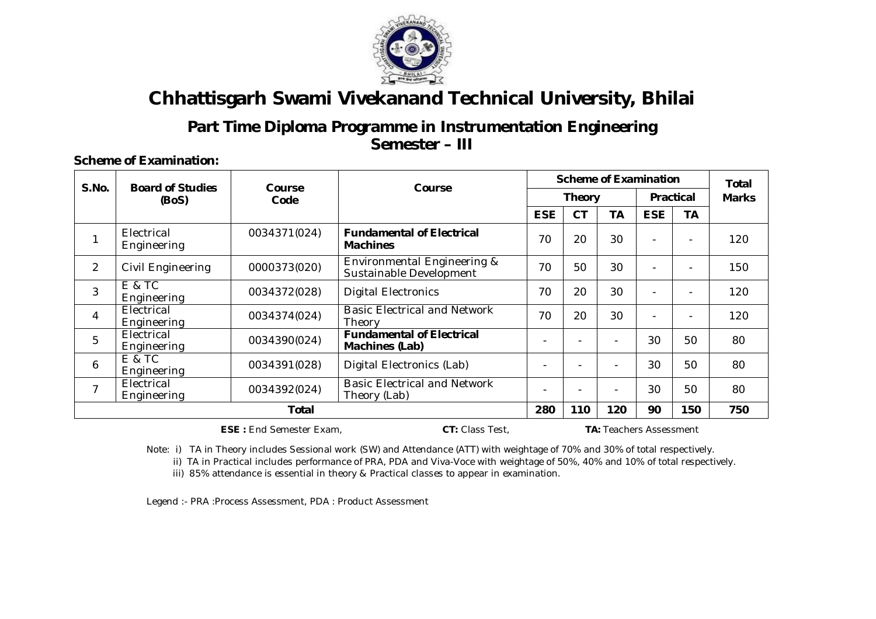

#### **Part Time Diploma Programme in Instrumentation Engineering Semester – III**

**Scheme of Examination:**

| S.No.          | <b>Board of Studies</b>   | <b>Course</b> | Course                                                            |            | <b>Scheme of Examination</b> |                          |                          |                          |              |
|----------------|---------------------------|---------------|-------------------------------------------------------------------|------------|------------------------------|--------------------------|--------------------------|--------------------------|--------------|
|                | (BoS)                     | Code          |                                                                   |            | <b>Theory</b>                |                          | <b>Practical</b>         |                          | <b>Marks</b> |
|                |                           |               |                                                                   | <b>ESE</b> | <b>CT</b>                    | <b>TA</b>                | <b>ESE</b>               | <b>TA</b>                |              |
| 1              | Electrical<br>Engineering | 0034371(024)  | <b>Fundamental of Electrical</b><br><b>Machines</b>               | 70         | 20                           | 30                       | $\qquad \qquad -$        | $\qquad \qquad -$        | 120          |
| 2              | Civil Engineering         | 0000373(020)  | <b>Environmental Engineering &amp;</b><br>Sustainable Development | 70         | 50                           | 30                       | $\blacksquare$           | $\overline{\phantom{0}}$ | 150          |
| 3              | E & TC<br>Engineering     | 0034372(028)  | <b>Digital Electronics</b>                                        | 70         | 20                           | 30                       | $\blacksquare$           | $\overline{\phantom{0}}$ | 120          |
| $\overline{4}$ | Electrical<br>Engineering | 0034374(024)  | <b>Basic Electrical and Network</b><br>Theory                     | 70         | 20                           | 30                       | $\overline{\phantom{0}}$ | $\overline{\phantom{0}}$ | 120          |
| 5              | Electrical<br>Engineering | 0034390(024)  | <b>Fundamental of Electrical</b><br>Machines (Lab)                |            |                              |                          | 30                       | 50                       | 80           |
| 6              | E & TC<br>Engineering     | 0034391(028)  | Digital Electronics (Lab)                                         |            | $\blacksquare$               | $\blacksquare$           | 30                       | 50                       | 80           |
| $\overline{7}$ | Electrical<br>Engineering | 0034392(024)  | <b>Basic Electrical and Network</b><br>Theory (Lab)               |            | $\blacksquare$               | $\overline{\phantom{a}}$ | 30                       | 50                       | 80           |
|                |                           |               | 280                                                               | 110        | 120                          | 90                       | 150                      | 750                      |              |

**ESE :** End Semester Exam, **CT:** Class Test, **TA:** Teachers Assessment

Note: i) TA in Theory includes Sessional work (SW) and Attendance (ATT) with weightage of 70% and 30% of total respectively.

ii) TA in Practical includes performance of PRA, PDA and Viva-Voce with weightage of 50%, 40% and 10% of total respectively.

iii) 85% attendance is essential in theory & Practical classes to appear in examination.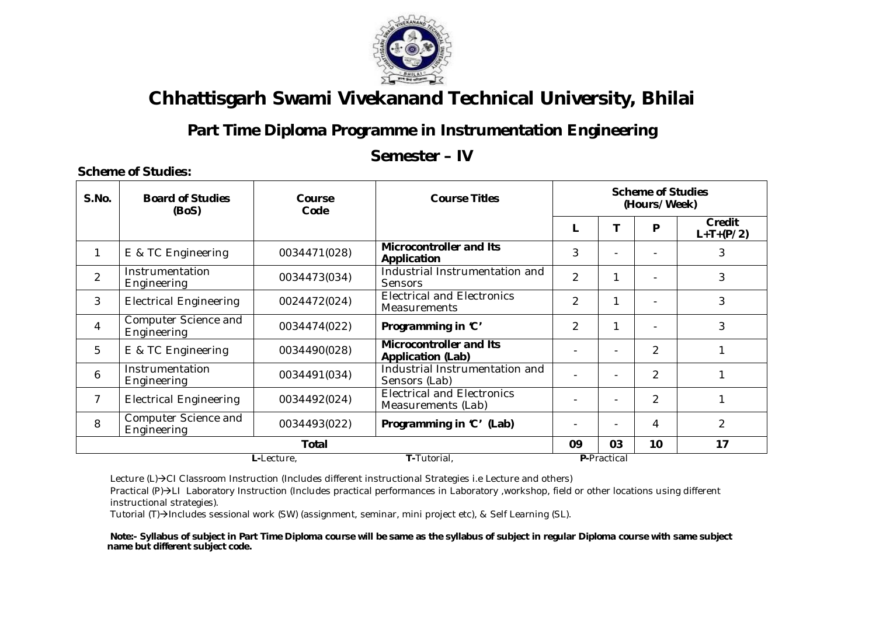

## **Part Time Diploma Programme in Instrumentation Engineering**

#### **Semester – IV**

#### **L-**Lecture, **T-**Tutorial, **P-**Practical **S.No. Board of Studies (BoS) Course Code Course Titles Scheme of Studies (Hours/Week) L T P Credit L+T+(P/2)** <sup>1</sup> E & TC Engineering 0034471(028) **Microcontroller and Its Application** and its  $\begin{vmatrix} 3 & 1 \\ 3 & 3 \end{vmatrix}$   $\begin{vmatrix} -1 & 3 \\ 3 & 3 \end{vmatrix}$ 2 Instrumentation<br>Engineering 0034473(034) Industrial Instrumentation and<br>
Sensors<br>
Electrical and Electronics Sensors  $\begin{array}{|c|c|c|c|c|c|c|c|c|c|c|} \hline \text{Sensors} & 2 & 1 & - & 3 \\ \hline \end{array}$  $3$  | Electrical Engineering | 0024472(024) Electrical and Electronics<br>Measurements  $\begin{vmatrix} 2 & 1 & -1 \\ 1 & 3 \end{vmatrix}$ 4 Computer Science and Engineering **Disk Replace 19 (1)** 0034474(022) **Programming in 'C'** 2 | 1 | - | 3 <sup>5</sup> E & TC Engineering 0034490(028) **Microcontroller and Its Application (Lab)**  $\begin{vmatrix} 1 & 2 \\ 4 & 2 \end{vmatrix}$  1 6 **Instrumentation** Instrumentation 0034491(034) Industrial Instrumentation and<br>Engineering 0034491(034) Sensors (Lab) Sensors (Lab)  $\begin{array}{|c|c|c|c|c|c|c|c|c|c|c|} \hline \end{array}$  .  $\begin{array}{|c|c|c|c|c|c|c|c|c|} \hline \end{array}$  .  $\begin{array}{|c|c|c|c|c|c|c|c|} \hline \end{array}$  .  $\begin{array}{|c|c|c|c|c|c|c|c|c|} \hline \end{array}$  . This conservation is the sensors (Lab) <sup>7</sup> Electrical Engineering 0034492(024) Electrical and Electronics Electrical and Electronics<br>Measurements (Lab)  $\begin{vmatrix} 1 & 1 \\ 2 & 2 \end{vmatrix}$  1 8 Computer Science and<br>Engineering 0034493(022) **Programming in 'C' (Lab)**  $\vert$  -  $\vert$  -  $\vert$  4  $\vert$  2 **Total 09 03 10 17**

**Scheme of Studies:**

Lecture (L)->CI Classroom Instruction (Includes different instructional Strategies i.e Lecture and others)

Practical (P)->LI Laboratory Instruction (Includes practical performances in Laboratory ,workshop, field or other locations using different instructional strategies).

Tutorial (T)-Includes sessional work (SW) (assignment, seminar, mini project etc), & Self Learning (SL).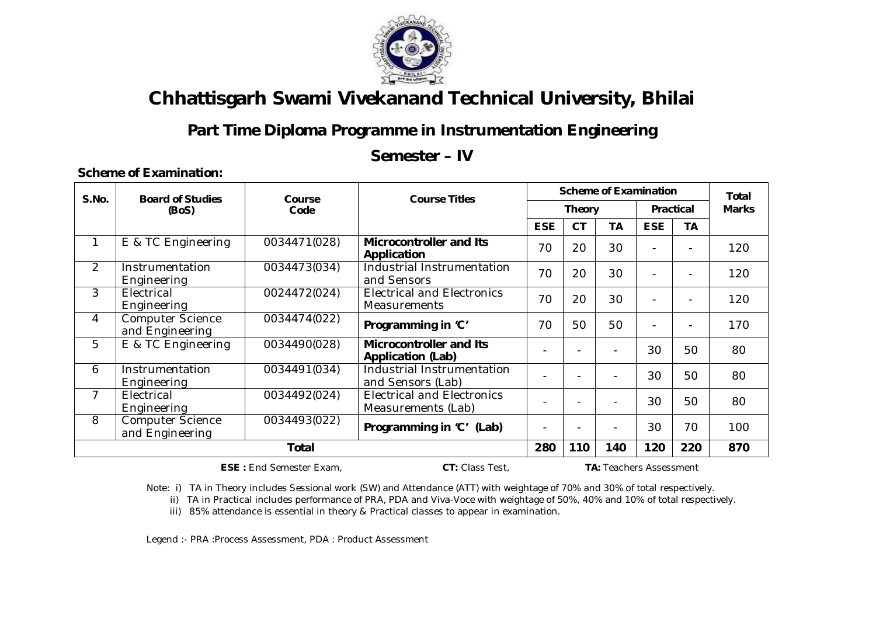

## **Part Time Diploma Programme in Instrumentation Engineering**

#### **Semester – IV**

#### **Scheme of Examination:**

| S.No.          | <b>Board of Studies</b>                    | Course       | <b>Course Titles</b>                                       |                          | <b>Scheme of Examination</b> |           |                          |                          |              |
|----------------|--------------------------------------------|--------------|------------------------------------------------------------|--------------------------|------------------------------|-----------|--------------------------|--------------------------|--------------|
|                | (BoS)                                      | Code         |                                                            |                          | <b>Theory</b>                |           | <b>Practical</b>         |                          | <b>Marks</b> |
|                |                                            |              |                                                            | <b>ESE</b>               | <b>CT</b>                    | <b>TA</b> | <b>ESE</b>               | TA                       |              |
| 1              | E & TC Engineering                         | 0034471(028) | <b>Microcontroller and Its</b><br>Application              | 70                       | 20                           | 30        | $\overline{\phantom{0}}$ |                          | 120          |
| $\overline{2}$ | Instrumentation<br>Engineering             | 0034473(034) | Industrial Instrumentation<br>and Sensors                  | 70                       | 20                           | 30        |                          | $\overline{\phantom{0}}$ | 120          |
| 3              | Electrical<br>Engineering                  | 0024472(024) | <b>Electrical and Electronics</b><br><b>Measurements</b>   | 70                       | 20                           | 30        | $\overline{\phantom{a}}$ | $\overline{\phantom{0}}$ | 120          |
| 4              | <b>Computer Science</b><br>and Engineering | 0034474(022) | Programming in 'C'                                         | 70                       | 50                           | 50        | $\overline{\phantom{a}}$ | $\overline{\phantom{0}}$ | 170          |
| 5              | E & TC Engineering                         | 0034490(028) | <b>Microcontroller and Its</b><br><b>Application (Lab)</b> |                          | $\overline{\phantom{0}}$     |           | 30                       | 50                       | 80           |
| 6              | Instrumentation<br>Engineering             | 0034491(034) | Industrial Instrumentation<br>and Sensors (Lab)            |                          |                              |           | 30                       | 50                       | 80           |
| 7              | Electrical<br>Engineering                  | 0034492(024) | <b>Electrical and Electronics</b><br>Measurements (Lab)    |                          |                              |           | 30                       | 50                       | 80           |
| 8              | <b>Computer Science</b><br>and Engineering | 0034493(022) | Programming in 'C' (Lab)                                   | $\overline{\phantom{0}}$ | $\overline{\phantom{0}}$     |           | 30                       | 70                       | 100          |
|                | <b>Total</b>                               |              |                                                            |                          |                              | 140       | 120                      | 220                      | 870          |

 **ESE :** End Semester Exam, **CT:** Class Test, **TA:** Teachers Assessment

Note: i) TA in Theory includes Sessional work (SW) and Attendance (ATT) with weightage of 70% and 30% of total respectively.

ii) TA in Practical includes performance of PRA, PDA and Viva-Voce with weightage of 50%, 40% and 10% of total respectively.

iii) 85% attendance is essential in theory & Practical classes to appear in examination.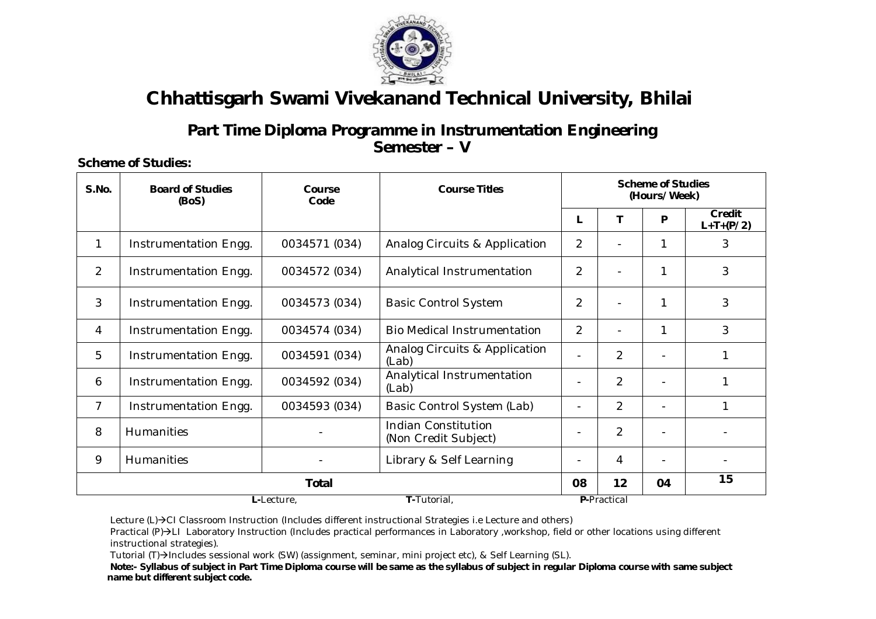

#### **Part Time Diploma Programme in Instrumentation Engineering Semester – V**

**Scheme of Studies:**

| S.No.          | <b>Board of Studies</b><br>(BoS) | Course<br>Code | <b>Course Titles</b>                               |                |                | <b>Scheme of Studies</b><br>(Hours/Week) |                              |
|----------------|----------------------------------|----------------|----------------------------------------------------|----------------|----------------|------------------------------------------|------------------------------|
|                |                                  |                |                                                    | L              |                | P                                        | <b>Credit</b><br>$L+T+(P/2)$ |
| 1              | Instrumentation Engg.            | 0034571 (034)  | Analog Circuits & Application                      | $\overline{2}$ |                | 1                                        | 3                            |
| 2              | Instrumentation Engg.            | 0034572 (034)  | Analytical Instrumentation                         | $\overline{2}$ |                | 1                                        | 3                            |
| 3              | Instrumentation Engg.            | 0034573 (034)  | <b>Basic Control System</b>                        | $\overline{2}$ |                | 1                                        | 3                            |
| $\overline{4}$ | Instrumentation Engg.            | 0034574 (034)  | <b>Bio Medical Instrumentation</b>                 | $\overline{2}$ |                | 1                                        | 3                            |
| 5              | Instrumentation Engg.            | 0034591 (034)  | Analog Circuits & Application<br>(Lab)             |                | $\overline{2}$ |                                          | 1                            |
| 6              | Instrumentation Engg.            | 0034592 (034)  | Analytical Instrumentation<br>(Lab)                | -              | $\overline{2}$ |                                          | 1                            |
| $\overline{7}$ | Instrumentation Engg.            | 0034593 (034)  | Basic Control System (Lab)                         | $\blacksquare$ | $\overline{2}$ |                                          | $\mathbf{1}$                 |
| 8              | Humanities                       |                | <b>Indian Constitution</b><br>(Non Credit Subject) | -              | $\overline{2}$ |                                          |                              |
| 9              | <b>Humanities</b>                |                | Library & Self Learning                            | -              | 4              |                                          |                              |
|                |                                  | <b>Total</b>   |                                                    | 08             | 12             | 04                                       | 15                           |
|                |                                  | L-Lecture,     | T-Tutorial,                                        |                | P-Practical    |                                          |                              |

Lecture (L)→CI Classroom Instruction (Includes different instructional Strategies i.e Lecture and others)

Practical (P)->LI Laboratory Instruction (Includes practical performances in Laboratory ,workshop, field or other locations using different instructional strategies).

Tutorial (T)->Includes sessional work (SW) (assignment, seminar, mini project etc), & Self Learning (SL).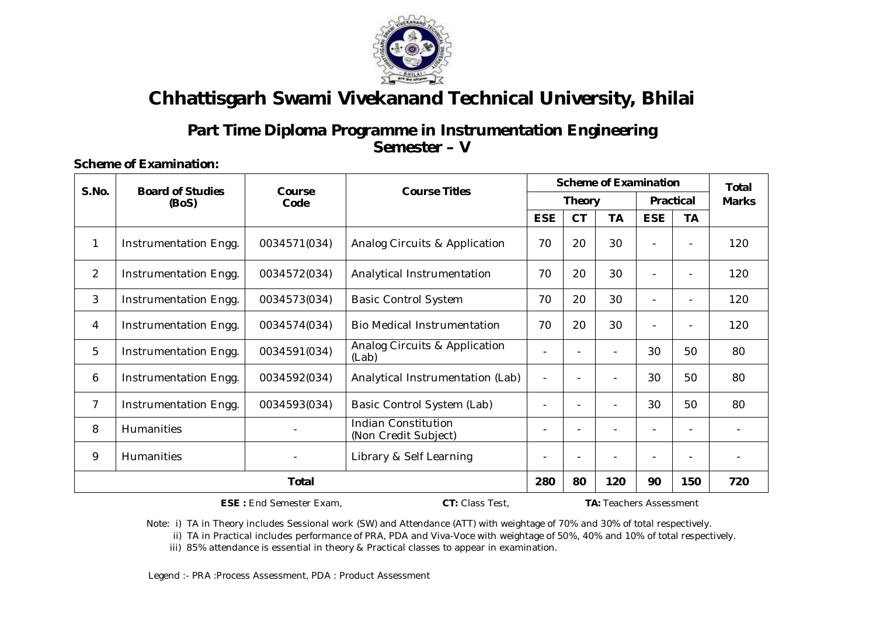

### **Part Time Diploma Programme in Instrumentation Engineering Semester – V**

#### **Scheme of Examination:**

| <b>Scheme of Examination</b><br>S.No.<br><b>Course Titles</b><br><b>Board of Studies</b><br>Course |                       |              |                                                    |            |               | <b>Total</b>   |                  |                          |              |
|----------------------------------------------------------------------------------------------------|-----------------------|--------------|----------------------------------------------------|------------|---------------|----------------|------------------|--------------------------|--------------|
|                                                                                                    | (BoS)                 | Code         |                                                    |            | <b>Theory</b> |                | <b>Practical</b> |                          | <b>Marks</b> |
|                                                                                                    |                       |              |                                                    | <b>ESE</b> | <b>CT</b>     | TA             | <b>ESE</b>       | <b>TA</b>                |              |
| 1                                                                                                  | Instrumentation Engg. | 0034571(034) | <b>Analog Circuits &amp; Application</b>           | 70         | 20            | 30             | $\blacksquare$   | $\overline{\phantom{a}}$ | 120          |
| $\overline{2}$                                                                                     | Instrumentation Engg. | 0034572(034) | Analytical Instrumentation                         | 70         | 20            | 30             | $\blacksquare$   | $\overline{\phantom{a}}$ | 120          |
| 3                                                                                                  | Instrumentation Engg. | 0034573(034) | <b>Basic Control System</b>                        | 70         | 20            | 30             | $\blacksquare$   | $\overline{\phantom{0}}$ | 120          |
| 4                                                                                                  | Instrumentation Engg. | 0034574(034) | <b>Bio Medical Instrumentation</b>                 | 70         | 20            | 30             | L,               |                          | 120          |
| 5                                                                                                  | Instrumentation Engg. | 0034591(034) | Analog Circuits & Application<br>(Lab)             |            |               |                | 30               | 50                       | 80           |
| 6                                                                                                  | Instrumentation Engg. | 0034592(034) | Analytical Instrumentation (Lab)                   |            |               |                | 30               | 50                       | 80           |
| $\overline{7}$                                                                                     | Instrumentation Engg. | 0034593(034) | Basic Control System (Lab)                         |            |               |                | 30               | 50                       | 80           |
| 8                                                                                                  | Humanities            |              | <b>Indian Constitution</b><br>(Non Credit Subject) |            |               | $\blacksquare$ | $\blacksquare$   | $\overline{\phantom{a}}$ |              |
| 9                                                                                                  | <b>Humanities</b>     |              | Library & Self Learning                            |            |               |                |                  |                          |              |
|                                                                                                    | <b>Total</b>          |              |                                                    |            |               | 120            | 90               | 150                      | 720          |

 **ESE :** End Semester Exam, **CT:** Class Test, **TA:** Teachers Assessment

Note: i) TA in Theory includes Sessional work (SW) and Attendance (ATT) with weightage of 70% and 30% of total respectively.

ii) TA in Practical includes performance of PRA, PDA and Viva-Voce with weightage of 50%, 40% and 10% of total respectively.

iii) 85% attendance is essential in theory & Practical classes to appear in examination.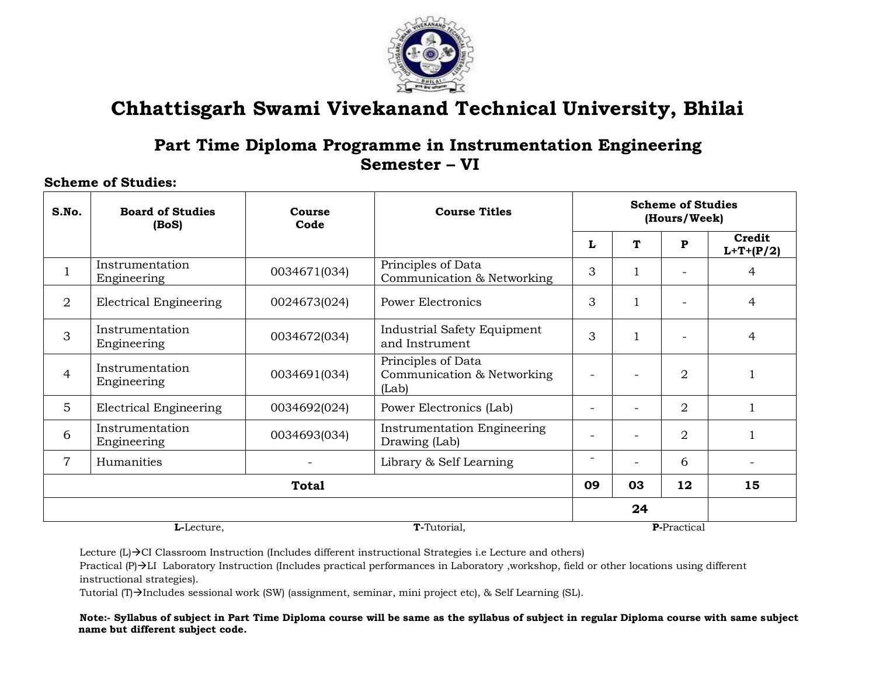

### **Part Time Diploma Programme in Instrumentation Engineering Semester – VI**

#### **Scheme of Studies:**

| S.No.          | <b>Board of Studies</b><br>(BoS) | Course<br>Code | <b>Course Titles</b>                                      |                          |    | <b>Scheme of Studies</b><br>(Hours/Week) |                       |
|----------------|----------------------------------|----------------|-----------------------------------------------------------|--------------------------|----|------------------------------------------|-----------------------|
|                |                                  |                |                                                           | L                        | Т  | P                                        | Credit<br>$L+T+(P/2)$ |
|                | Instrumentation<br>Engineering   | 0034671(034)   | Principles of Data<br>Communication & Networking          | 3                        |    |                                          | 4                     |
| $\overline{2}$ | <b>Electrical Engineering</b>    | 0024673(024)   | <b>Power Electronics</b>                                  | 3                        |    |                                          | 4                     |
| 3              | Instrumentation<br>Engineering   | 0034672(034)   | Industrial Safety Equipment<br>and Instrument             | 3                        |    |                                          | 4                     |
| $\overline{4}$ | Instrumentation<br>Engineering   | 0034691(034)   | Principles of Data<br>Communication & Networking<br>(Lab) |                          |    | 2                                        | 1                     |
| 5              | <b>Electrical Engineering</b>    | 0034692(024)   | Power Electronics (Lab)                                   | $\overline{\phantom{m}}$ |    | 2                                        |                       |
| 6              | Instrumentation<br>Engineering   | 0034693(034)   | <b>Instrumentation Engineering</b><br>Drawing (Lab)       |                          |    | 2                                        |                       |
| $\overline{7}$ | Humanities                       |                | Library & Self Learning                                   | $\overline{\phantom{m}}$ |    | 6                                        |                       |
|                |                                  | <b>Total</b>   |                                                           | 09                       | 03 | 12                                       | 15                    |
|                |                                  |                |                                                           |                          | 24 |                                          |                       |
|                | L-Lecture.                       |                | T-Tutorial,                                               |                          |    | <b>P-Practical</b>                       |                       |

Lecture  $(L) \rightarrow$  CI Classroom Instruction (Includes different instructional Strategies i.e Lecture and others)

Practical (P)  $\rightarrow$  LI Laboratory Instruction (Includes practical performances in Laboratory ,workshop, field or other locations using different instructional strategies).

Tutorial (T) $\rightarrow$ Includes sessional work (SW) (assignment, seminar, mini project etc), & Self Learning (SL).